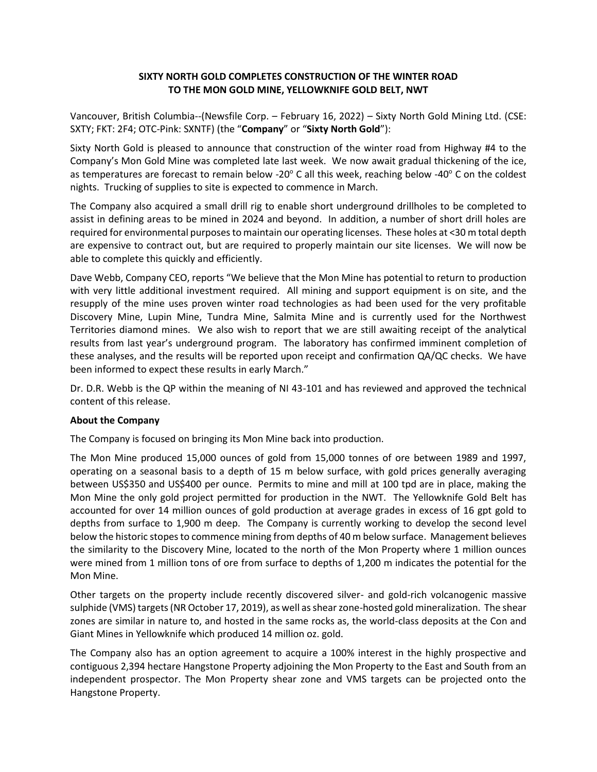# **SIXTY NORTH GOLD COMPLETES CONSTRUCTION OF THE WINTER ROAD TO THE MON GOLD MINE, YELLOWKNIFE GOLD BELT, NWT**

Vancouver, British Columbia--(Newsfile Corp. – February 16, 2022) – Sixty North Gold Mining Ltd. (CSE: SXTY; FKT: 2F4; OTC-Pink: SXNTF) (the "**Company**" or "**Sixty North Gold**"):

Sixty North Gold is pleased to announce that construction of the winter road from Highway #4 to the Company's Mon Gold Mine was completed late last week. We now await gradual thickening of the ice, as temperatures are forecast to remain below -20 $\degree$  C all this week, reaching below -40 $\degree$  C on the coldest nights. Trucking of supplies to site is expected to commence in March.

The Company also acquired a small drill rig to enable short underground drillholes to be completed to assist in defining areas to be mined in 2024 and beyond. In addition, a number of short drill holes are required for environmental purposes to maintain our operating licenses. These holes at <30 m total depth are expensive to contract out, but are required to properly maintain our site licenses. We will now be able to complete this quickly and efficiently.

Dave Webb, Company CEO, reports "We believe that the Mon Mine has potential to return to production with very little additional investment required. All mining and support equipment is on site, and the resupply of the mine uses proven winter road technologies as had been used for the very profitable Discovery Mine, Lupin Mine, Tundra Mine, Salmita Mine and is currently used for the Northwest Territories diamond mines. We also wish to report that we are still awaiting receipt of the analytical results from last year's underground program. The laboratory has confirmed imminent completion of these analyses, and the results will be reported upon receipt and confirmation QA/QC checks. We have been informed to expect these results in early March."

Dr. D.R. Webb is the QP within the meaning of NI 43-101 and has reviewed and approved the technical content of this release.

### **About the Company**

The Company is focused on bringing its Mon Mine back into production.

The Mon Mine produced 15,000 ounces of gold from 15,000 tonnes of ore between 1989 and 1997, operating on a seasonal basis to a depth of 15 m below surface, with gold prices generally averaging between US\$350 and US\$400 per ounce. Permits to mine and mill at 100 tpd are in place, making the Mon Mine the only gold project permitted for production in the NWT. The Yellowknife Gold Belt has accounted for over 14 million ounces of gold production at average grades in excess of 16 gpt gold to depths from surface to 1,900 m deep. The Company is currently working to develop the second level below the historic stopes to commence mining from depths of 40 m below surface. Management believes the similarity to the Discovery Mine, located to the north of the Mon Property where 1 million ounces were mined from 1 million tons of ore from surface to depths of 1,200 m indicates the potential for the Mon Mine.

Other targets on the property include recently discovered silver- and gold-rich volcanogenic massive sulphide (VMS) targets (NR October 17, 2019), as well as shear zone-hosted gold mineralization. The shear zones are similar in nature to, and hosted in the same rocks as, the world-class deposits at the Con and Giant Mines in Yellowknife which produced 14 million oz. gold.

The Company also has an option agreement to acquire a 100% interest in the highly prospective and contiguous 2,394 hectare Hangstone Property adjoining the Mon Property to the East and South from an independent prospector. The Mon Property shear zone and VMS targets can be projected onto the Hangstone Property.